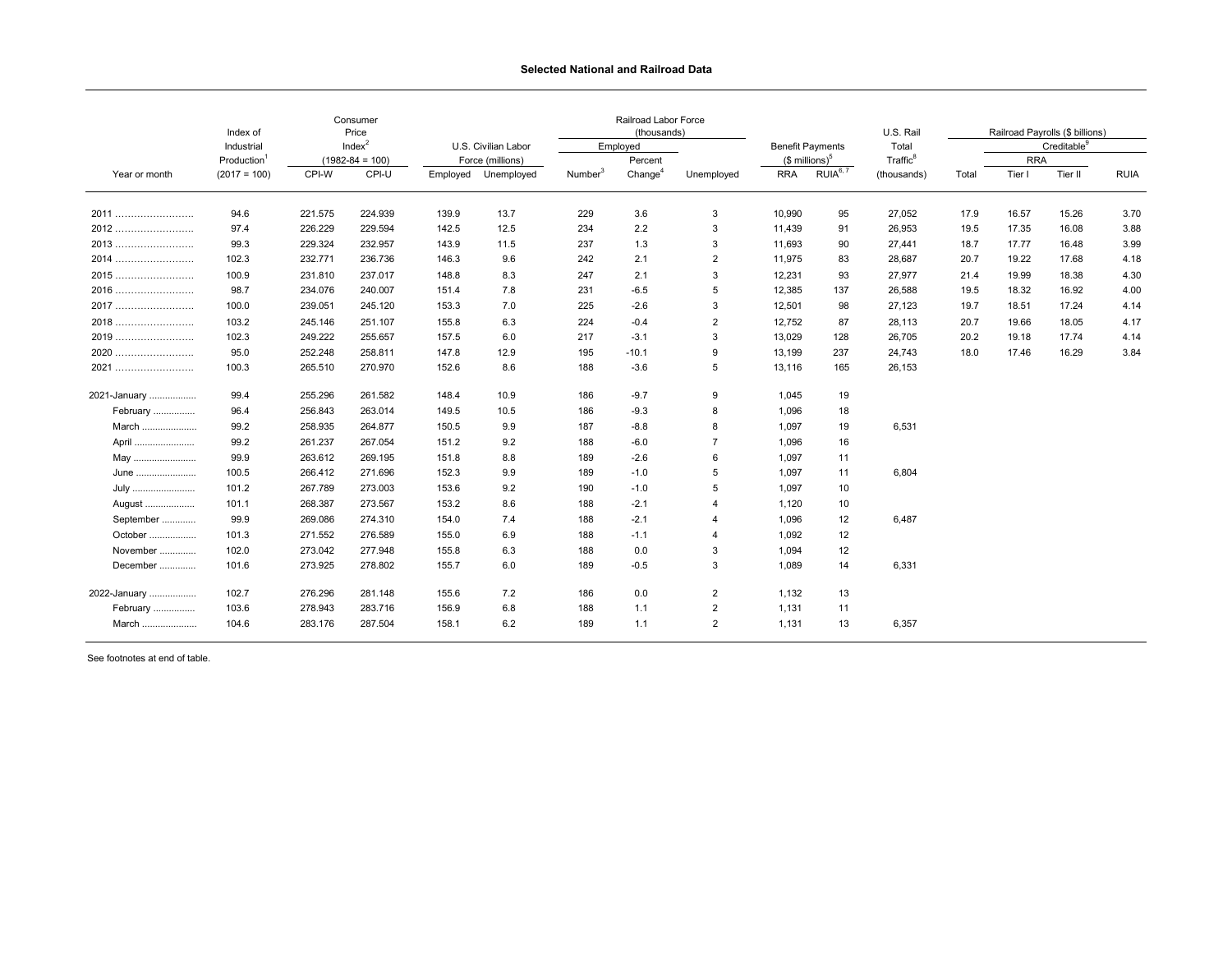## **Selected National and Railroad Data**

| Year or month   | Index of<br>Industrial<br>Production <sup>1</sup><br>$(2017 = 100)$ | Consumer<br>Price<br>Index <sup>2</sup><br>$(1982 - 84 = 100)$ |         |                                         |                     | Railroad Labor Force<br>(thousands) |                     |                |                            |                      | U.S. Rail            | Railroad Payrolls (\$ billions) |                         |         |             |
|-----------------|---------------------------------------------------------------------|----------------------------------------------------------------|---------|-----------------------------------------|---------------------|-------------------------------------|---------------------|----------------|----------------------------|----------------------|----------------------|---------------------------------|-------------------------|---------|-------------|
|                 |                                                                     |                                                                |         | U.S. Civilian Labor<br>Force (millions) |                     | Employed                            |                     |                | <b>Benefit Payments</b>    |                      | Total                |                                 | Creditable <sup>9</sup> |         |             |
|                 |                                                                     |                                                                |         |                                         |                     |                                     | Percent             |                | $$$ millions) <sup>5</sup> |                      | Traffic <sup>8</sup> |                                 | <b>RRA</b>              |         |             |
|                 |                                                                     | CPI-W                                                          | CPI-U   |                                         | Employed Unemployed | Number <sup>3</sup>                 | Change <sup>4</sup> | Unemployed     | <b>RRA</b>                 | RUIA <sup>6, 7</sup> | (thousands)          | Total                           | Tier I                  | Tier II | <b>RUIA</b> |
| 2011            | 94.6                                                                | 221.575                                                        | 224.939 | 139.9                                   | 13.7                | 229                                 | 3.6                 | 3              | 10,990                     | 95                   | 27,052               | 17.9                            | 16.57                   | 15.26   | 3.70        |
| 2012            | 97.4                                                                | 226.229                                                        | 229.594 | 142.5                                   | 12.5                | 234                                 | 2.2                 | 3              | 11,439                     | 91                   | 26,953               | 19.5                            | 17.35                   | 16.08   | 3.88        |
| 2013            | 99.3                                                                | 229.324                                                        | 232.957 | 143.9                                   | 11.5                | 237                                 | 1.3                 | 3              | 11,693                     | 90                   | 27,441               | 18.7                            | 17.77                   | 16.48   | 3.99        |
| 2014            | 102.3                                                               | 232.771                                                        | 236.736 | 146.3                                   | 9.6                 | 242                                 | 2.1                 | 2              | 11,975                     | 83                   | 28,687               | 20.7                            | 19.22                   | 17.68   | 4.18        |
| 2015            | 100.9                                                               | 231.810                                                        | 237.017 | 148.8                                   | 8.3                 | 247                                 | 2.1                 | 3              | 12,231                     | 93                   | 27,977               | 21.4                            | 19.99                   | 18.38   | 4.30        |
| 2016            | 98.7                                                                | 234.076                                                        | 240.007 | 151.4                                   | 7.8                 | 231                                 | $-6.5$              | 5              | 12,385                     | 137                  | 26,588               | 19.5                            | 18.32                   | 16.92   | 4.00        |
| 2017            | 100.0                                                               | 239.051                                                        | 245.120 | 153.3                                   | 7.0                 | 225                                 | $-2.6$              | 3              | 12,501                     | 98                   | 27,123               | 19.7                            | 18.51                   | 17.24   | 4.14        |
| 2018            | 103.2                                                               | 245.146                                                        | 251.107 | 155.8                                   | 6.3                 | 224                                 | $-0.4$              | $\overline{2}$ | 12,752                     | 87                   | 28,113               | 20.7                            | 19.66                   | 18.05   | 4.17        |
| 2019            | 102.3                                                               | 249.222                                                        | 255.657 | 157.5                                   | 6.0                 | 217                                 | $-3.1$              | 3              | 13,029                     | 128                  | 26,705               | 20.2                            | 19.18                   | 17.74   | 4.14        |
| 2020            | 95.0                                                                | 252.248                                                        | 258.811 | 147.8                                   | 12.9                | 195                                 | $-10.1$             | 9              | 13,199                     | 237                  | 24,743               | 18.0                            | 17.46                   | 16.29   | 3.84        |
| 2021            | 100.3                                                               | 265.510                                                        | 270.970 | 152.6                                   | 8.6                 | 188                                 | $-3.6$              | 5              | 13,116                     | 165                  | 26,153               |                                 |                         |         |             |
| 2021-January    | 99.4                                                                | 255.296                                                        | 261.582 | 148.4                                   | 10.9                | 186                                 | $-9.7$              | 9              | 1,045                      | 19                   |                      |                                 |                         |         |             |
| <b>February</b> | 96.4                                                                | 256.843                                                        | 263.014 | 149.5                                   | 10.5                | 186                                 | $-9.3$              | 8              | 1,096                      | 18                   |                      |                                 |                         |         |             |
| March           | 99.2                                                                | 258.935                                                        | 264.877 | 150.5                                   | 9.9                 | 187                                 | $-8.8$              | 8              | 1,097                      | 19                   | 6,531                |                                 |                         |         |             |
| April.          | 99.2                                                                | 261.237                                                        | 267.054 | 151.2                                   | 9.2                 | 188                                 | $-6.0$              | $\overline{7}$ | 1,096                      | 16                   |                      |                                 |                         |         |             |
| May             | 99.9                                                                | 263.612                                                        | 269.195 | 151.8                                   | 8.8                 | 189                                 | $-2.6$              | 6              | 1,097                      | 11                   |                      |                                 |                         |         |             |
| June            | 100.5                                                               | 266.412                                                        | 271.696 | 152.3                                   | 9.9                 | 189                                 | $-1.0$              | 5              | 1,097                      | 11                   | 6,804                |                                 |                         |         |             |
| July            | 101.2                                                               | 267.789                                                        | 273.003 | 153.6                                   | 9.2                 | 190                                 | $-1.0$              | 5              | 1,097                      | 10                   |                      |                                 |                         |         |             |
| August          | 101.1                                                               | 268.387                                                        | 273.567 | 153.2                                   | 8.6                 | 188                                 | $-2.1$              | 4              | 1,120                      | 10                   |                      |                                 |                         |         |             |
| September       | 99.9                                                                | 269.086                                                        | 274.310 | 154.0                                   | 7.4                 | 188                                 | $-2.1$              | 4              | 1,096                      | 12                   | 6,487                |                                 |                         |         |             |
| October         | 101.3                                                               | 271.552                                                        | 276.589 | 155.0                                   | 6.9                 | 188                                 | $-1.1$              | 4              | 1,092                      | 12                   |                      |                                 |                         |         |             |
| November        | 102.0                                                               | 273.042                                                        | 277.948 | 155.8                                   | 6.3                 | 188                                 | 0.0                 | 3              | 1,094                      | 12                   |                      |                                 |                         |         |             |
| December        | 101.6                                                               | 273.925                                                        | 278.802 | 155.7                                   | 6.0                 | 189                                 | $-0.5$              | 3              | 1,089                      | 14                   | 6,331                |                                 |                         |         |             |
| 2022-January    | 102.7                                                               | 276.296                                                        | 281.148 | 155.6                                   | 7.2                 | 186                                 | 0.0                 | $\overline{2}$ | 1,132                      | 13                   |                      |                                 |                         |         |             |
| February        | 103.6                                                               | 278.943                                                        | 283.716 | 156.9                                   | 6.8                 | 188                                 | 1.1                 | 2              | 1,131                      | 11                   |                      |                                 |                         |         |             |
| March           | 104.6                                                               | 283.176                                                        | 287.504 | 158.1                                   | 6.2                 | 189                                 | 1.1                 | 2              | 1,131                      | 13                   | 6,357                |                                 |                         |         |             |

See footnotes at end of table.